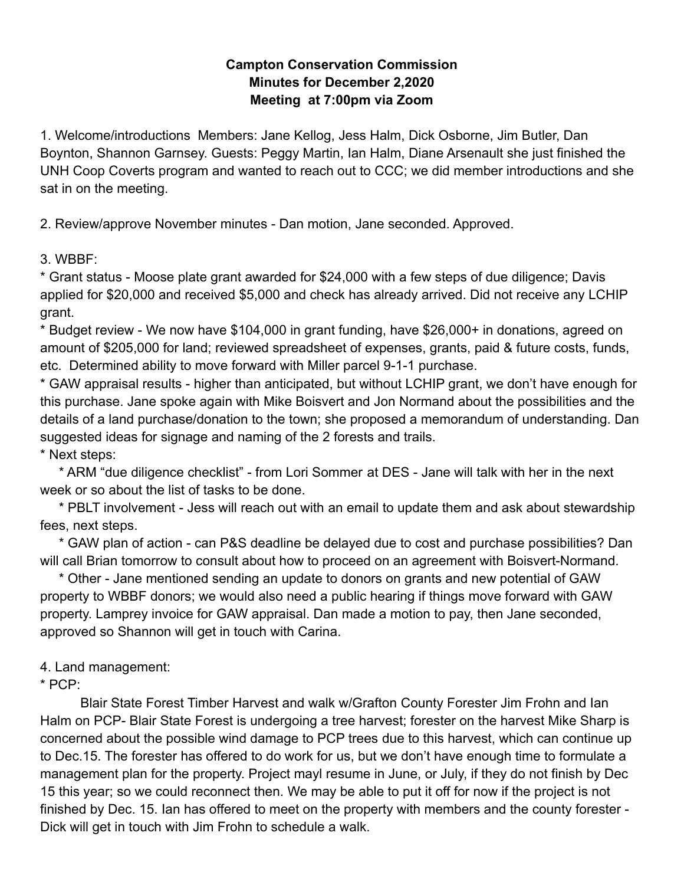## **Campton Conservation Commission Minutes for December 2,2020 Meeting at 7:00pm via Zoom**

1. Welcome/introductions Members: Jane Kellog, Jess Halm, Dick Osborne, Jim Butler, Dan Boynton, Shannon Garnsey. Guests: Peggy Martin, Ian Halm, Diane Arsenault she just finished the UNH Coop Coverts program and wanted to reach out to CCC; we did member introductions and she sat in on the meeting.

2. Review/approve November minutes - Dan motion, Jane seconded. Approved.

3. WBBF:

\* Grant status - Moose plate grant awarded for \$24,000 with a few steps of due diligence; Davis applied for \$20,000 and received \$5,000 and check has already arrived. Did not receive any LCHIP grant.

\* Budget review - We now have \$104,000 in grant funding, have \$26,000+ in donations, agreed on amount of \$205,000 for land; reviewed spreadsheet of expenses, grants, paid & future costs, funds, etc. Determined ability to move forward with Miller parcel 9-1-1 purchase.

\* GAW appraisal results - higher than anticipated, but without LCHIP grant, we don't have enough for this purchase. Jane spoke again with Mike Boisvert and Jon Normand about the possibilities and the details of a land purchase/donation to the town; she proposed a memorandum of understanding. Dan suggested ideas for signage and naming of the 2 forests and trails. \* Next steps:

\* ARM "due diligence checklist" - from Lori Sommer at DES - Jane will talk with her in the next week or so about the list of tasks to be done.

\* PBLT involvement - Jess will reach out with an email to update them and ask about stewardship fees, next steps.

\* GAW plan of action - can P&S deadline be delayed due to cost and purchase possibilities? Dan will call Brian tomorrow to consult about how to proceed on an agreement with Boisvert-Normand.

\* Other - Jane mentioned sending an update to donors on grants and new potential of GAW property to WBBF donors; we would also need a public hearing if things move forward with GAW property. Lamprey invoice for GAW appraisal. Dan made a motion to pay, then Jane seconded, approved so Shannon will get in touch with Carina.

4. Land management:

\* PCP:

Blair State Forest Timber Harvest and walk w/Grafton County Forester Jim Frohn and Ian Halm on PCP- Blair State Forest is undergoing a tree harvest; forester on the harvest Mike Sharp is concerned about the possible wind damage to PCP trees due to this harvest, which can continue up to Dec.15. The forester has offered to do work for us, but we don't have enough time to formulate a management plan for the property. Project mayl resume in June, or July, if they do not finish by Dec 15 this year; so we could reconnect then. We may be able to put it off for now if the project is not finished by Dec. 15. Ian has offered to meet on the property with members and the county forester - Dick will get in touch with Jim Frohn to schedule a walk.